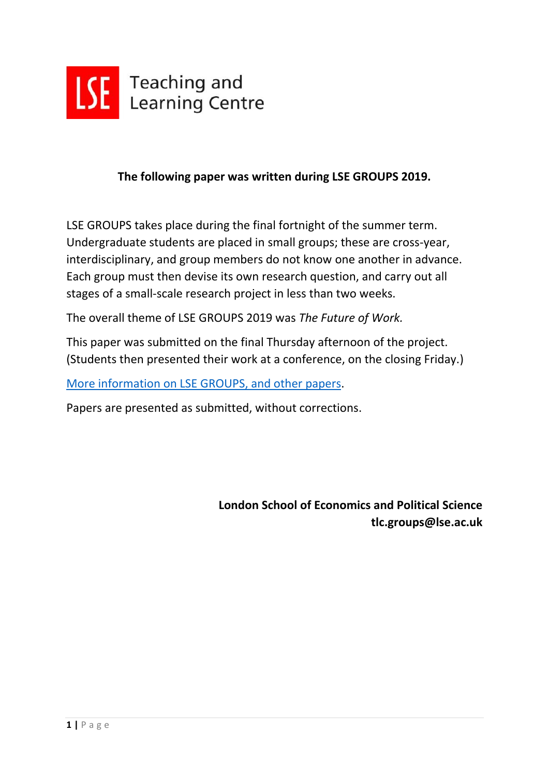

## **The following paper was written during LSE GROUPS 2019.**

LSE GROUPS takes place during the final fortnight of the summer term. Undergraduate students are placed in small groups; these are cross-year, interdisciplinary, and group members do not know one another in advance. Each group must then devise its own research question, and carry out all stages of a small-scale research project in less than two weeks.

The overall theme of LSE GROUPS 2019 was *The Future of Work.*

This paper was submitted on the final Thursday afternoon of the project. (Students then presented their work at a conference, on the closing Friday.)

[More information on LSE GROUPS, and other papers.](https://info.lse.ac.uk/staff/divisions/Teaching-and-Learning-Centre/TLC-events-and-workshops/LSE-GROUPS)

Papers are presented as submitted, without corrections.

**London School of Economics and Political Science tlc.groups@lse.ac.uk**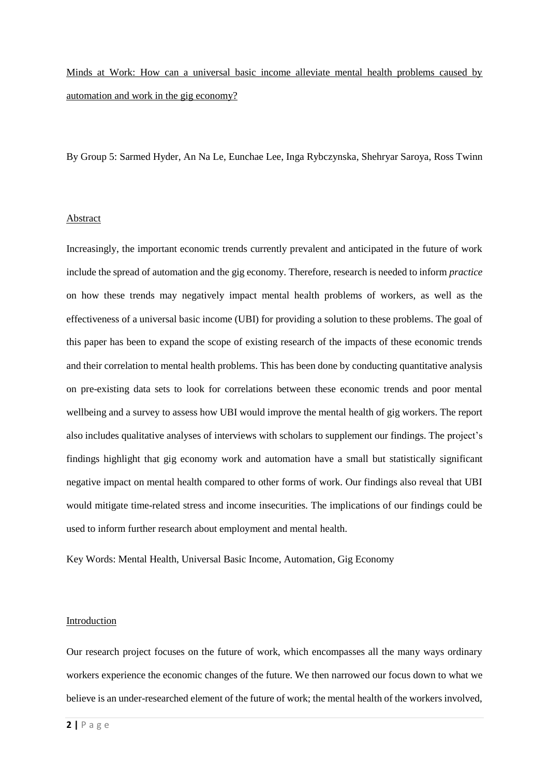Minds at Work: How can a universal basic income alleviate mental health problems caused by automation and work in the gig economy?

By Group 5: Sarmed Hyder, An Na Le, Eunchae Lee, Inga Rybczynska, Shehryar Saroya, Ross Twinn

#### Abstract

Increasingly, the important economic trends currently prevalent and anticipated in the future of work include the spread of automation and the gig economy. Therefore, research is needed to inform *practice* on how these trends may negatively impact mental health problems of workers, as well as the effectiveness of a universal basic income (UBI) for providing a solution to these problems. The goal of this paper has been to expand the scope of existing research of the impacts of these economic trends and their correlation to mental health problems. This has been done by conducting quantitative analysis on pre-existing data sets to look for correlations between these economic trends and poor mental wellbeing and a survey to assess how UBI would improve the mental health of gig workers. The report also includes qualitative analyses of interviews with scholars to supplement our findings. The project's findings highlight that gig economy work and automation have a small but statistically significant negative impact on mental health compared to other forms of work. Our findings also reveal that UBI would mitigate time-related stress and income insecurities. The implications of our findings could be used to inform further research about employment and mental health.

Key Words: Mental Health, Universal Basic Income, Automation, Gig Economy

#### Introduction

Our research project focuses on the future of work, which encompasses all the many ways ordinary workers experience the economic changes of the future. We then narrowed our focus down to what we believe is an under-researched element of the future of work; the mental health of the workers involved,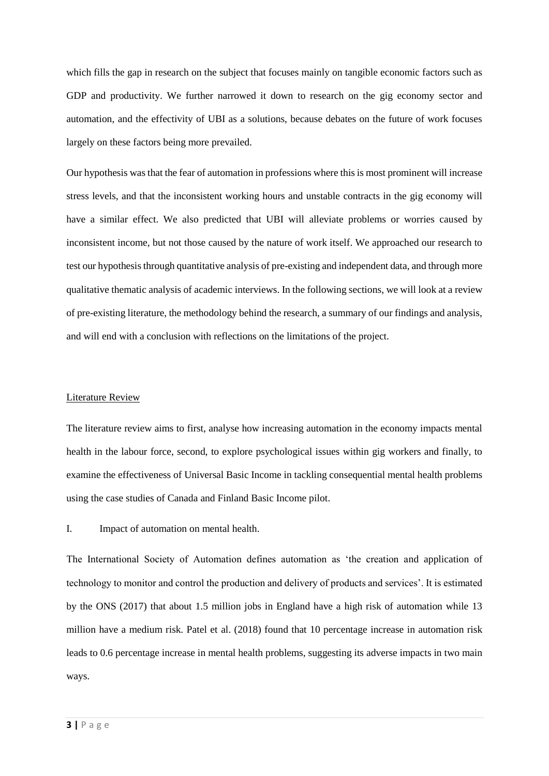which fills the gap in research on the subject that focuses mainly on tangible economic factors such as GDP and productivity. We further narrowed it down to research on the gig economy sector and automation, and the effectivity of UBI as a solutions, because debates on the future of work focuses largely on these factors being more prevailed.

Our hypothesis was that the fear of automation in professions where this is most prominent will increase stress levels, and that the inconsistent working hours and unstable contracts in the gig economy will have a similar effect. We also predicted that UBI will alleviate problems or worries caused by inconsistent income, but not those caused by the nature of work itself. We approached our research to test our hypothesis through quantitative analysis of pre-existing and independent data, and through more qualitative thematic analysis of academic interviews. In the following sections, we will look at a review of pre-existing literature, the methodology behind the research, a summary of our findings and analysis, and will end with a conclusion with reflections on the limitations of the project.

#### Literature Review

The literature review aims to first, analyse how increasing automation in the economy impacts mental health in the labour force, second, to explore psychological issues within gig workers and finally, to examine the effectiveness of Universal Basic Income in tackling consequential mental health problems using the case studies of Canada and Finland Basic Income pilot.

I. Impact of automation on mental health.

The International Society of Automation defines automation as 'the creation and application of technology to monitor and control the production and delivery of products and services'. It is estimated by the ONS (2017) that about 1.5 million jobs in England have a high risk of automation while 13 million have a medium risk. Patel et al. (2018) found that 10 percentage increase in automation risk leads to 0.6 percentage increase in mental health problems, suggesting its adverse impacts in two main ways.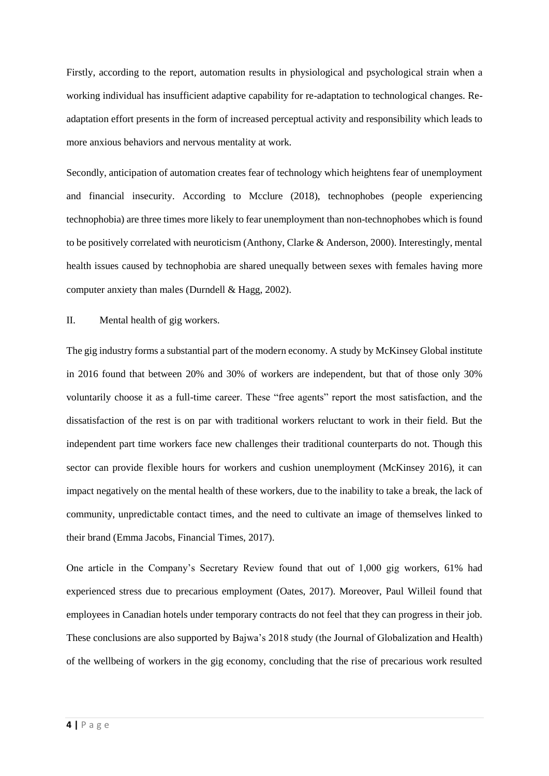Firstly, according to the report, automation results in physiological and psychological strain when a working individual has insufficient adaptive capability for re-adaptation to technological changes. Readaptation effort presents in the form of increased perceptual activity and responsibility which leads to more anxious behaviors and nervous mentality at work.

Secondly, anticipation of automation creates fear of technology which heightens fear of unemployment and financial insecurity. According to Mcclure (2018), technophobes (people experiencing technophobia) are three times more likely to fear unemployment than non-technophobes which is found to be positively correlated with neuroticism (Anthony, Clarke & Anderson, 2000). Interestingly, mental health issues caused by technophobia are shared unequally between sexes with females having more computer anxiety than males (Durndell & Hagg, 2002).

II. Mental health of gig workers.

The gig industry forms a substantial part of the modern economy. A study by McKinsey Global institute in 2016 found that between 20% and 30% of workers are independent, but that of those only 30% voluntarily choose it as a full-time career. These "free agents" report the most satisfaction, and the dissatisfaction of the rest is on par with traditional workers reluctant to work in their field. But the independent part time workers face new challenges their traditional counterparts do not. Though this sector can provide flexible hours for workers and cushion unemployment (McKinsey 2016), it can impact negatively on the mental health of these workers, due to the inability to take a break, the lack of community, unpredictable contact times, and the need to cultivate an image of themselves linked to their brand (Emma Jacobs, Financial Times, 2017).

One article in the Company's Secretary Review found that out of 1,000 gig workers, 61% had experienced stress due to precarious employment (Oates, 2017). Moreover, Paul Willeil found that employees in Canadian hotels under temporary contracts do not feel that they can progress in their job. These conclusions are also supported by Bajwa's 2018 study (the Journal of Globalization and Health) of the wellbeing of workers in the gig economy, concluding that the rise of precarious work resulted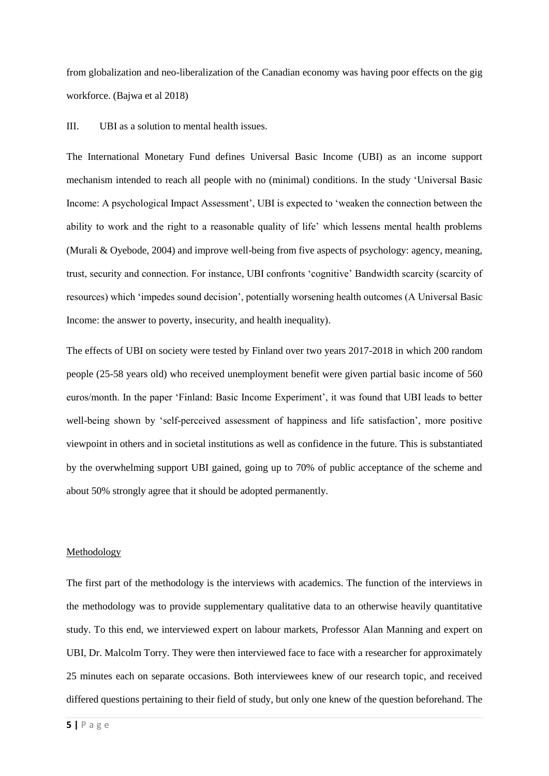from globalization and neo-liberalization of the Canadian economy was having poor effects on the gig workforce. (Bajwa et al 2018)

III. UBI as a solution to mental health issues.

The International Monetary Fund defines Universal Basic Income (UBI) as an income support mechanism intended to reach all people with no (minimal) conditions. In the study 'Universal Basic Income: A psychological Impact Assessment', UBI is expected to 'weaken the connection between the ability to work and the right to a reasonable quality of life' which lessens mental health problems (Murali & Oyebode, 2004) and improve well-being from five aspects of psychology: agency, meaning, trust, security and connection. For instance, UBI confronts 'cognitive' Bandwidth scarcity (scarcity of resources) which 'impedes sound decision', potentially worsening health outcomes (A Universal Basic Income: the answer to poverty, insecurity, and health inequality).

The effects of UBI on society were tested by Finland over two years 2017-2018 in which 200 random people (25-58 years old) who received unemployment benefit were given partial basic income of 560 euros/month. In the paper 'Finland: Basic Income Experiment', it was found that UBI leads to better well-being shown by 'self-perceived assessment of happiness and life satisfaction', more positive viewpoint in others and in societal institutions as well as confidence in the future. This is substantiated by the overwhelming support UBI gained, going up to 70% of public acceptance of the scheme and about 50% strongly agree that it should be adopted permanently.

#### Methodology

The first part of the methodology is the interviews with academics. The function of the interviews in the methodology was to provide supplementary qualitative data to an otherwise heavily quantitative study. To this end, we interviewed expert on labour markets, Professor Alan Manning and expert on UBI, Dr. Malcolm Torry. They were then interviewed face to face with a researcher for approximately 25 minutes each on separate occasions. Both interviewees knew of our research topic, and received differed questions pertaining to their field of study, but only one knew of the question beforehand. The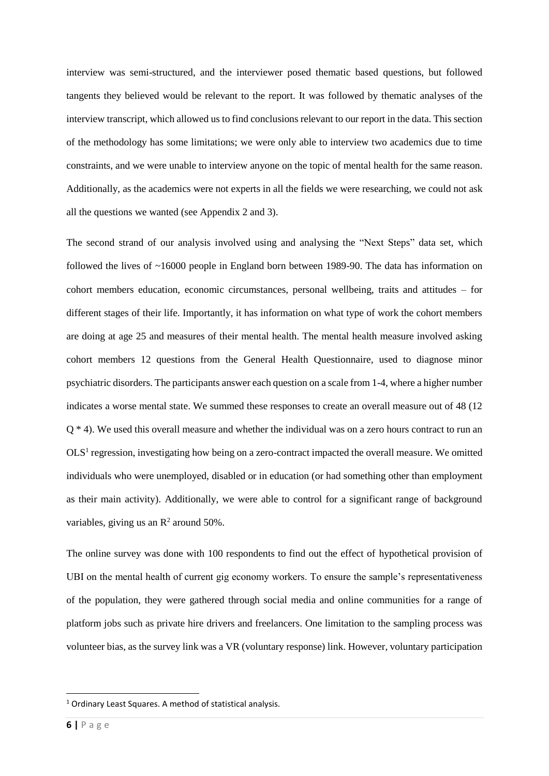interview was semi-structured, and the interviewer posed thematic based questions, but followed tangents they believed would be relevant to the report. It was followed by thematic analyses of the interview transcript, which allowed us to find conclusions relevant to our report in the data. This section of the methodology has some limitations; we were only able to interview two academics due to time constraints, and we were unable to interview anyone on the topic of mental health for the same reason. Additionally, as the academics were not experts in all the fields we were researching, we could not ask all the questions we wanted (see Appendix 2 and 3).

The second strand of our analysis involved using and analysing the "Next Steps" data set, which followed the lives of ~16000 people in England born between 1989-90. The data has information on cohort members education, economic circumstances, personal wellbeing, traits and attitudes – for different stages of their life. Importantly, it has information on what type of work the cohort members are doing at age 25 and measures of their mental health. The mental health measure involved asking cohort members 12 questions from the General Health Questionnaire, used to diagnose minor psychiatric disorders. The participants answer each question on a scale from 1-4, where a higher number indicates a worse mental state. We summed these responses to create an overall measure out of 48 (12 Q \* 4). We used this overall measure and whether the individual was on a zero hours contract to run an OLS<sup>1</sup> regression, investigating how being on a zero-contract impacted the overall measure. We omitted individuals who were unemployed, disabled or in education (or had something other than employment as their main activity). Additionally, we were able to control for a significant range of background variables, giving us an  $\mathbb{R}^2$  around 50%.

The online survey was done with 100 respondents to find out the effect of hypothetical provision of UBI on the mental health of current gig economy workers. To ensure the sample's representativeness of the population, they were gathered through social media and online communities for a range of platform jobs such as private hire drivers and freelancers. One limitation to the sampling process was volunteer bias, as the survey link was a VR (voluntary response) link. However, voluntary participation

**.** 

<sup>&</sup>lt;sup>1</sup> Ordinary Least Squares. A method of statistical analysis.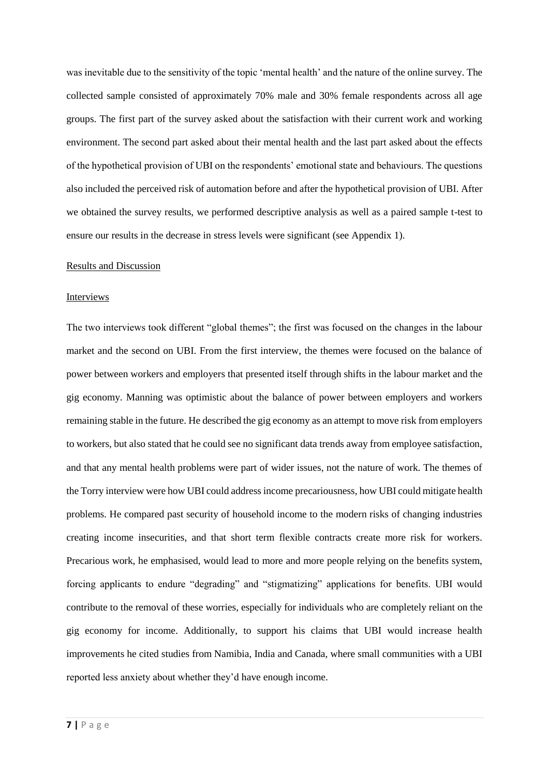was inevitable due to the sensitivity of the topic 'mental health' and the nature of the online survey. The collected sample consisted of approximately 70% male and 30% female respondents across all age groups. The first part of the survey asked about the satisfaction with their current work and working environment. The second part asked about their mental health and the last part asked about the effects of the hypothetical provision of UBI on the respondents' emotional state and behaviours. The questions also included the perceived risk of automation before and after the hypothetical provision of UBI. After we obtained the survey results, we performed descriptive analysis as well as a paired sample t-test to ensure our results in the decrease in stress levels were significant (see Appendix 1).

#### Results and Discussion

#### Interviews

The two interviews took different "global themes"; the first was focused on the changes in the labour market and the second on UBI. From the first interview, the themes were focused on the balance of power between workers and employers that presented itself through shifts in the labour market and the gig economy. Manning was optimistic about the balance of power between employers and workers remaining stable in the future. He described the gig economy as an attempt to move risk from employers to workers, but also stated that he could see no significant data trends away from employee satisfaction, and that any mental health problems were part of wider issues, not the nature of work. The themes of the Torry interview were how UBI could address income precariousness, how UBI could mitigate health problems. He compared past security of household income to the modern risks of changing industries creating income insecurities, and that short term flexible contracts create more risk for workers. Precarious work, he emphasised, would lead to more and more people relying on the benefits system, forcing applicants to endure "degrading" and "stigmatizing" applications for benefits. UBI would contribute to the removal of these worries, especially for individuals who are completely reliant on the gig economy for income. Additionally, to support his claims that UBI would increase health improvements he cited studies from Namibia, India and Canada, where small communities with a UBI reported less anxiety about whether they'd have enough income.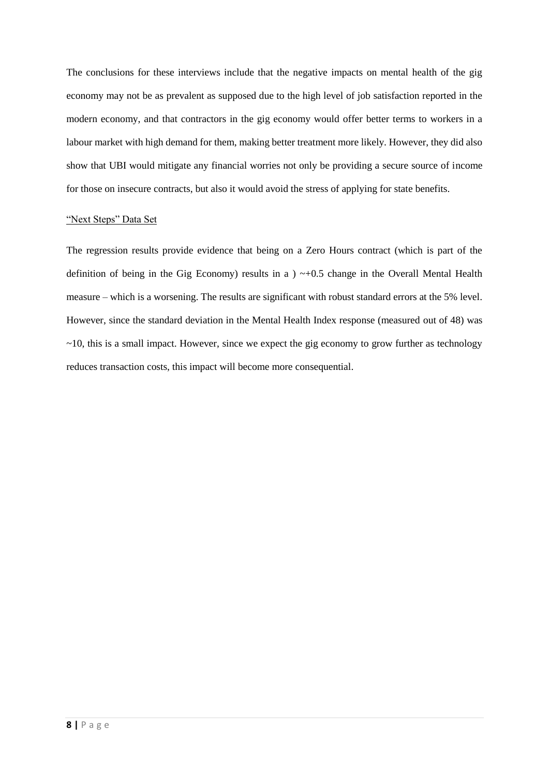The conclusions for these interviews include that the negative impacts on mental health of the gig economy may not be as prevalent as supposed due to the high level of job satisfaction reported in the modern economy, and that contractors in the gig economy would offer better terms to workers in a labour market with high demand for them, making better treatment more likely. However, they did also show that UBI would mitigate any financial worries not only be providing a secure source of income for those on insecure contracts, but also it would avoid the stress of applying for state benefits.

#### "Next Steps" Data Set

The regression results provide evidence that being on a Zero Hours contract (which is part of the definition of being in the Gig Economy) results in a  $) \sim +0.5$  change in the Overall Mental Health measure – which is a worsening. The results are significant with robust standard errors at the 5% level. However, since the standard deviation in the Mental Health Index response (measured out of 48) was  $\sim$ 10, this is a small impact. However, since we expect the gig economy to grow further as technology reduces transaction costs, this impact will become more consequential.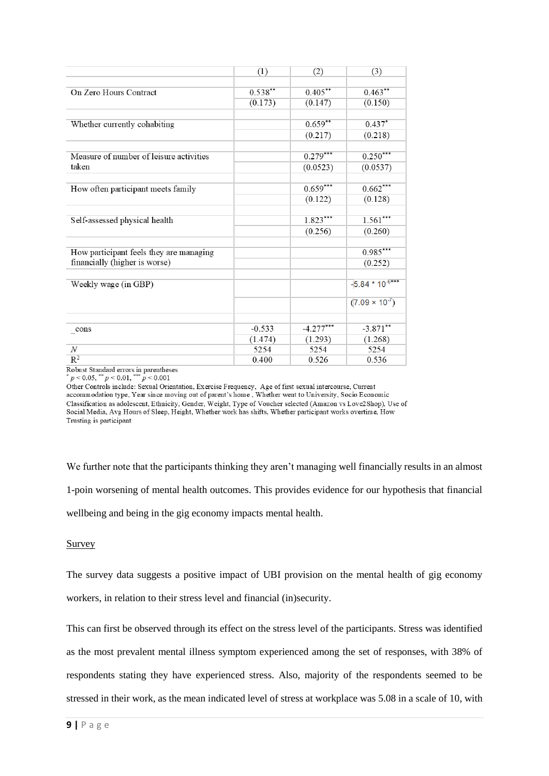|                                         | (1)        | (2)         | (3)                     |
|-----------------------------------------|------------|-------------|-------------------------|
|                                         |            |             |                         |
| On Zero Hours Contract                  | $0.538***$ | $0.405***$  | $0.463***$              |
|                                         | (0.173)    | (0.147)     | (0.150)                 |
|                                         |            |             |                         |
| Whether currently cohabiting            |            | $0.659***$  | $0.437*$                |
|                                         |            | (0.217)     | (0.218)                 |
|                                         |            |             |                         |
| Measure of number of leisure activities |            | $0.279***$  | $0.250***$              |
| taken                                   |            | (0.0523)    | (0.0537)                |
|                                         |            |             |                         |
| How often participant meets family      |            | $0.659***$  | $0.662***$              |
|                                         |            | (0.122)     | (0.128)                 |
|                                         |            |             |                         |
| Self-assessed physical health           |            | $1.823***$  | $1.561***$              |
|                                         |            | (0.256)     | (0.260)                 |
|                                         |            |             |                         |
| How participant feels they are managing |            |             | $0.985***$              |
| financially (higher is worse)           |            |             | (0.252)                 |
|                                         |            |             |                         |
| Weekly wage (in GBP)                    |            |             | $-5.84 * 10^{-6***}$    |
|                                         |            |             | $(7.09 \times 10^{-7})$ |
|                                         |            |             |                         |
| $_{\rm -cons}$                          | $-0.533$   | $-4.277***$ | $-3.871$ **             |
|                                         | (1.474)    | (1.293)     | (1.268)                 |
| $\boldsymbol{N}$                        | 5254       | 5254        | 5254                    |
| $R^2$                                   | 0.400      | 0.526       | 0.536                   |

Robust Standard errors in parentheses<br>  $p < 0.05$ ,  $\binom{p}{k} < 0.01$ ,  $\binom{p}{k} < 0.001$ 

Other Controls include: Sexual Orientation, Exercise Frequency, Age of first sexual intercourse, Current<br>accommodation type, Year since moving out of parent's home, Whether went to University, Socio Economic Classification as adolescent, Ethnicity, Gender, Weight, Type of Voucher selected (Amazon vs Love2Shop), Use of Social Media, Avg Hours of Sleep, Height, Whether work has shifts, Whether participant works overtime, How Trusting is participant

We further note that the participants thinking they aren't managing well financially results in an almost 1-poin worsening of mental health outcomes. This provides evidence for our hypothesis that financial wellbeing and being in the gig economy impacts mental health.

Survey

The survey data suggests a positive impact of UBI provision on the mental health of gig economy workers, in relation to their stress level and financial (in)security.

This can first be observed through its effect on the stress level of the participants. Stress was identified as the most prevalent mental illness symptom experienced among the set of responses, with 38% of respondents stating they have experienced stress. Also, majority of the respondents seemed to be stressed in their work, as the mean indicated level of stress at workplace was 5.08 in a scale of 10, with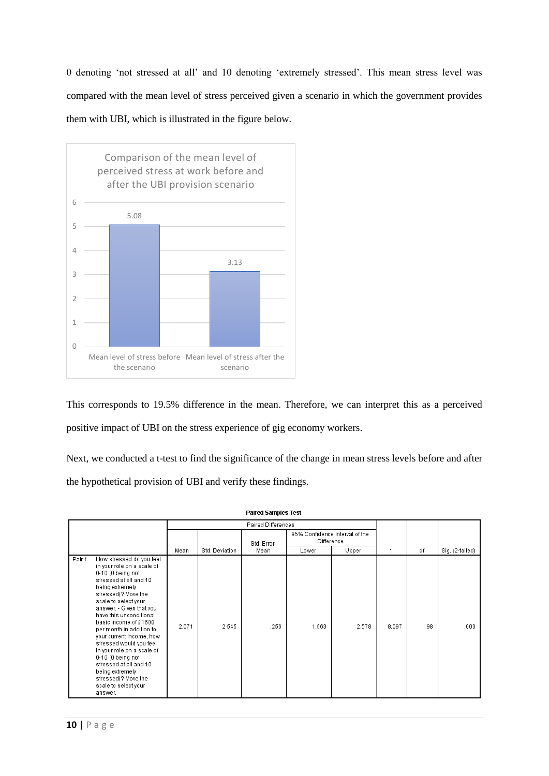0 denoting 'not stressed at all' and 10 denoting 'extremely stressed'. This mean stress level was compared with the mean level of stress perceived given a scenario in which the government provides them with UBI, which is illustrated in the figure below.



This corresponds to 19.5% difference in the mean. Therefore, we can interpret this as a perceived positive impact of UBI on the stress experience of gig economy workers.

Next, we conducted a t-test to find the significance of the change in mean stress levels before and after the hypothetical provision of UBI and verify these findings.

| <b>Paired Samples Test</b> |                                                                                                                                                                                                                                                                                                                                                                                                                                                                                                      |                           |                |            |                                              |       |       |    |                 |
|----------------------------|------------------------------------------------------------------------------------------------------------------------------------------------------------------------------------------------------------------------------------------------------------------------------------------------------------------------------------------------------------------------------------------------------------------------------------------------------------------------------------------------------|---------------------------|----------------|------------|----------------------------------------------|-------|-------|----|-----------------|
|                            |                                                                                                                                                                                                                                                                                                                                                                                                                                                                                                      | <b>Paired Differences</b> |                |            |                                              |       |       |    |                 |
|                            |                                                                                                                                                                                                                                                                                                                                                                                                                                                                                                      |                           |                | Std. Error | 95% Confidence Interval of the<br>Difference |       |       |    |                 |
|                            |                                                                                                                                                                                                                                                                                                                                                                                                                                                                                                      | Mean                      | Std. Deviation | Mean       | Lower                                        | Upper |       | df | Sig. (2-tailed) |
| Pair 1                     | How stressed do you feel<br>in your role on a scale of<br>0-10 (0 being not<br>stressed at all and 10<br>being extremely<br>stressed)? Move the<br>scale to select your<br>answer. - Given that you<br>have this unconditional<br>basic income of £1600<br>per month in addition to<br>your current income, how<br>stressed would you feel<br>in your role on a scale of<br>0-10 (0 being not<br>stressed at all and 10<br>being extremely<br>stressed)? Move the<br>scale to select your<br>answer. | 2.071                     | 2.545          | .256       | 1.563                                        | 2.578 | 8.097 | 98 | .000            |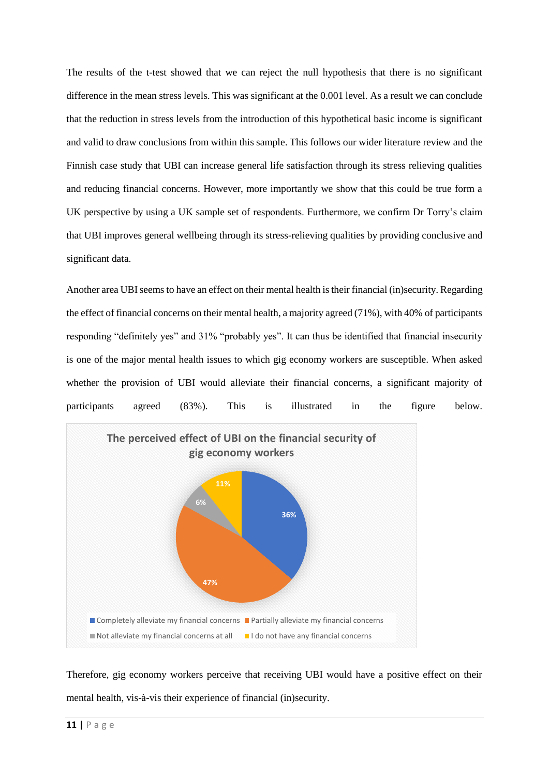The results of the t-test showed that we can reject the null hypothesis that there is no significant difference in the mean stress levels. This was significant at the 0.001 level. As a result we can conclude that the reduction in stress levels from the introduction of this hypothetical basic income is significant and valid to draw conclusions from within this sample. This follows our wider literature review and the Finnish case study that UBI can increase general life satisfaction through its stress relieving qualities and reducing financial concerns. However, more importantly we show that this could be true form a UK perspective by using a UK sample set of respondents. Furthermore, we confirm Dr Torry's claim that UBI improves general wellbeing through its stress-relieving qualities by providing conclusive and significant data.

Another area UBI seems to have an effect on their mental health is their financial (in)security. Regarding the effect of financial concerns on their mental health, a majority agreed (71%), with 40% of participants responding "definitely yes" and 31% "probably yes". It can thus be identified that financial insecurity is one of the major mental health issues to which gig economy workers are susceptible. When asked whether the provision of UBI would alleviate their financial concerns, a significant majority of participants agreed (83%). This is illustrated in the figure below.



Therefore, gig economy workers perceive that receiving UBI would have a positive effect on their mental health, vis-à-vis their experience of financial (in)security.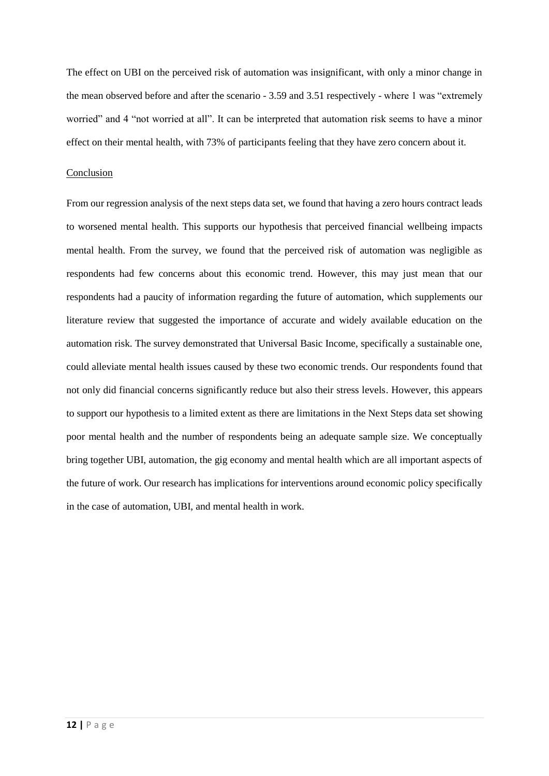The effect on UBI on the perceived risk of automation was insignificant, with only a minor change in the mean observed before and after the scenario - 3.59 and 3.51 respectively - where 1 was "extremely worried" and 4 "not worried at all". It can be interpreted that automation risk seems to have a minor effect on their mental health, with 73% of participants feeling that they have zero concern about it.

#### Conclusion

From our regression analysis of the next steps data set, we found that having a zero hours contract leads to worsened mental health. This supports our hypothesis that perceived financial wellbeing impacts mental health. From the survey, we found that the perceived risk of automation was negligible as respondents had few concerns about this economic trend. However, this may just mean that our respondents had a paucity of information regarding the future of automation, which supplements our literature review that suggested the importance of accurate and widely available education on the automation risk. The survey demonstrated that Universal Basic Income, specifically a sustainable one, could alleviate mental health issues caused by these two economic trends. Our respondents found that not only did financial concerns significantly reduce but also their stress levels. However, this appears to support our hypothesis to a limited extent as there are limitations in the Next Steps data set showing poor mental health and the number of respondents being an adequate sample size. We conceptually bring together UBI, automation, the gig economy and mental health which are all important aspects of the future of work. Our research has implications for interventions around economic policy specifically in the case of automation, UBI, and mental health in work.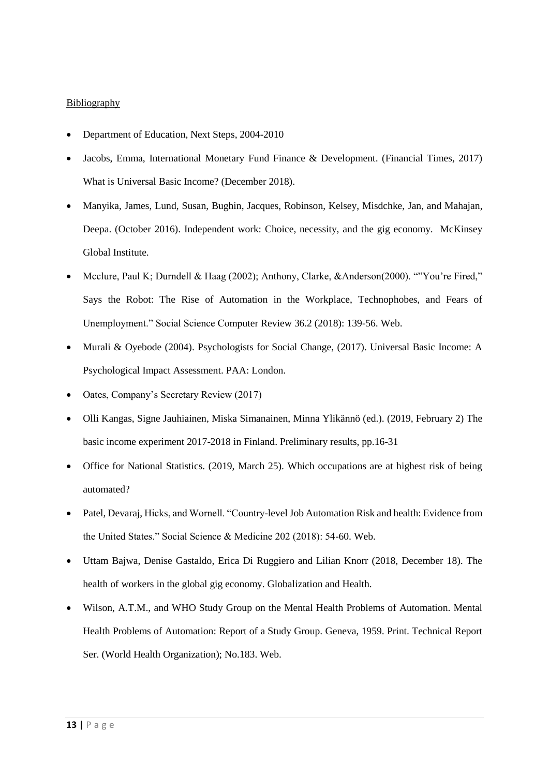#### **Bibliography**

- Department of Education, Next Steps, 2004-2010
- Jacobs, Emma, International Monetary Fund Finance & Development. (Financial Times, 2017) What is Universal Basic Income? (December 2018).
- Manyika, James, Lund, Susan, Bughin, Jacques, Robinson, Kelsey, Misdchke, Jan, and Mahajan, Deepa. (October 2016). Independent work: Choice, necessity, and the gig economy. McKinsey Global Institute.
- Mcclure, Paul K; Durndell & Haag (2002); Anthony, Clarke, &Anderson(2000). ""You're Fired," Says the Robot: The Rise of Automation in the Workplace, Technophobes, and Fears of Unemployment." Social Science Computer Review 36.2 (2018): 139-56. Web.
- Murali & Oyebode (2004). Psychologists for Social Change, (2017). Universal Basic Income: A Psychological Impact Assessment. PAA: London.
- Oates, Company's Secretary Review (2017)
- Olli Kangas, Signe Jauhiainen, Miska Simanainen, Minna Ylikännö (ed.). (2019, February 2) The basic income experiment 2017-2018 in Finland. Preliminary results, pp.16-31
- Office for National Statistics. (2019, March 25). Which occupations are at highest risk of being automated?
- Patel, Devaraj, Hicks, and Wornell. "Country-level Job Automation Risk and health: Evidence from the United States." Social Science & Medicine 202 (2018): 54-60. Web.
- Uttam Bajwa, Denise Gastaldo, Erica Di Ruggiero and Lilian Knorr (2018, December 18). The health of workers in the global gig economy. Globalization and Health.
- Wilson, A.T.M., and WHO Study Group on the Mental Health Problems of Automation. Mental Health Problems of Automation: Report of a Study Group. Geneva, 1959. Print. Technical Report Ser. (World Health Organization); No.183. Web.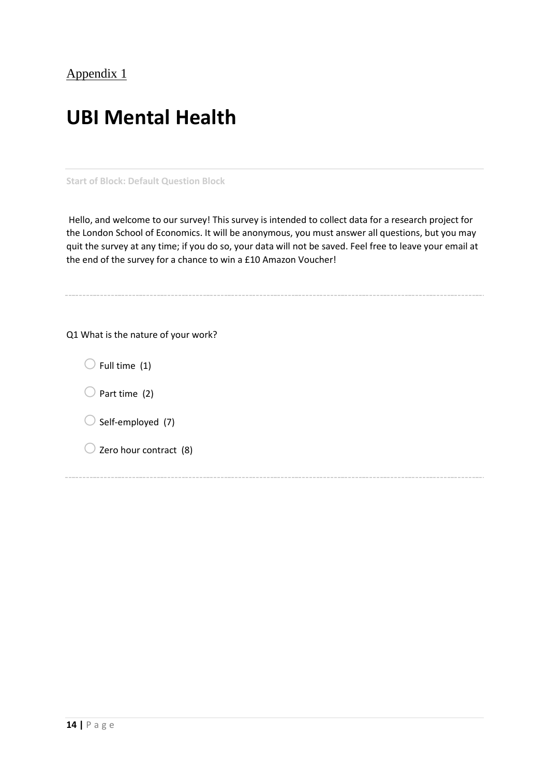# **UBI Mental Health**

**Start of Block: Default Question Block**

Hello, and welcome to our survey! This survey is intended to collect data for a research project for the London School of Economics. It will be anonymous, you must answer all questions, but you may quit the survey at any time; if you do so, your data will not be saved. Feel free to leave your email at the end of the survey for a chance to win a £10 Amazon Voucher!

Q1 What is the nature of your work?

 $\bigcirc$  Full time (1)

 $\bigcirc$  Part time (2)

 $\bigcirc$  Self-employed (7)

 $\bigcirc$  Zero hour contract (8)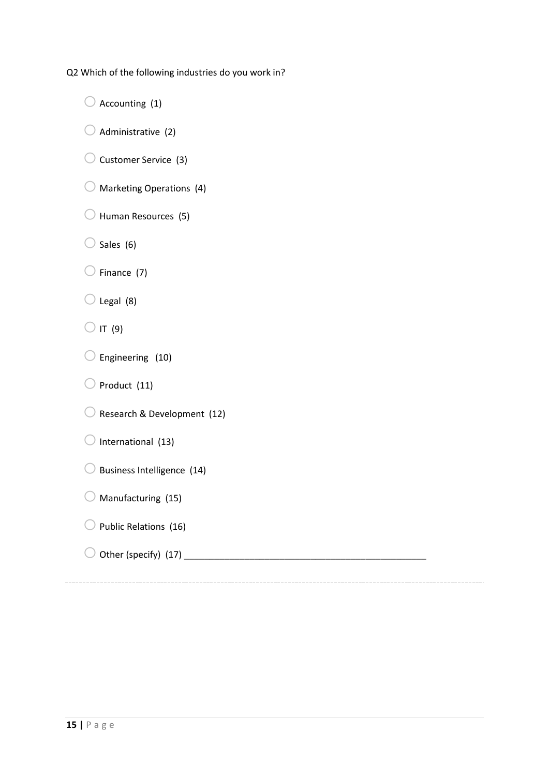Q2 Which of the following industries do you work in?

 $\bigcirc$  Accounting (1)

 $\bigcirc$  Administrative (2)

 $\bigcirc$  Customer Service (3)

 $\bigcirc$  Marketing Operations (4)

 $\bigcirc$  Human Resources (5)

 $\bigcirc$  Sales (6)

 $\bigcirc$  Finance (7)

 $\bigcirc$  Legal (8)

 $\bigcirc$  IT (9)

 $\bigcirc$  Engineering (10)

 $\bigcirc$  Product (11)

 $\bigcirc$  Research & Development (12)

 $\bigcirc$  International (13)

 $\bigcirc$  Business Intelligence (14)

 $\bigcirc$  Manufacturing (15)

 $\bigcirc$  Public Relations (16)

# o Other (specify) (17) \_\_\_\_\_\_\_\_\_\_\_\_\_\_\_\_\_\_\_\_\_\_\_\_\_\_\_\_\_\_\_\_\_\_\_\_\_\_\_\_\_\_\_\_\_\_\_\_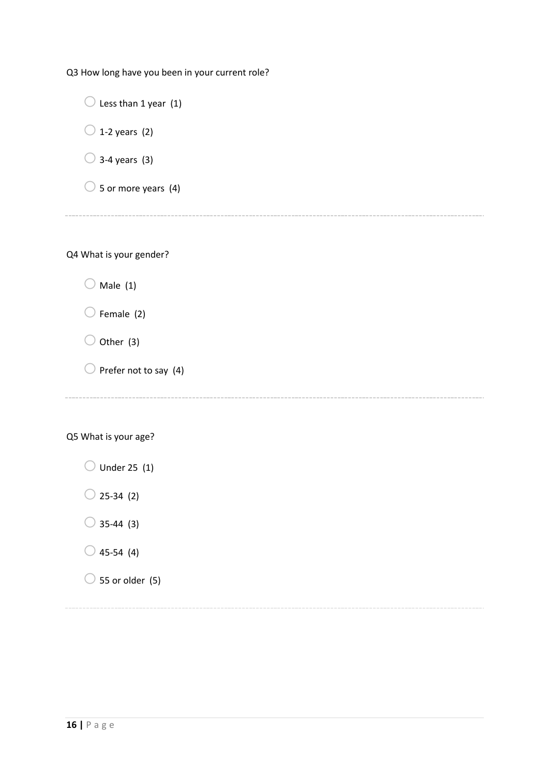Q3 How long have you been in your current role?

 $\bigcirc$  Less than 1 year (1)  $\bigcirc$  1-2 years (2)  $\bigcirc$  3-4 years (3)  $\circ$  5 or more years (4)

Q4 What is your gender?

 $\bigcirc$  Male (1)

 $\bigcirc$  Female (2)

 $\bigcirc$  Other (3)

 $\bigcirc$  Prefer not to say (4)

Q5 What is your age?

 $\bigcirc$  Under 25 (1)

 $\bigcirc$  25-34 (2)

 $\bigcirc$  35-44 (3)

 $\bigcirc$  45-54 (4)

 $\bigcirc$  55 or older (5)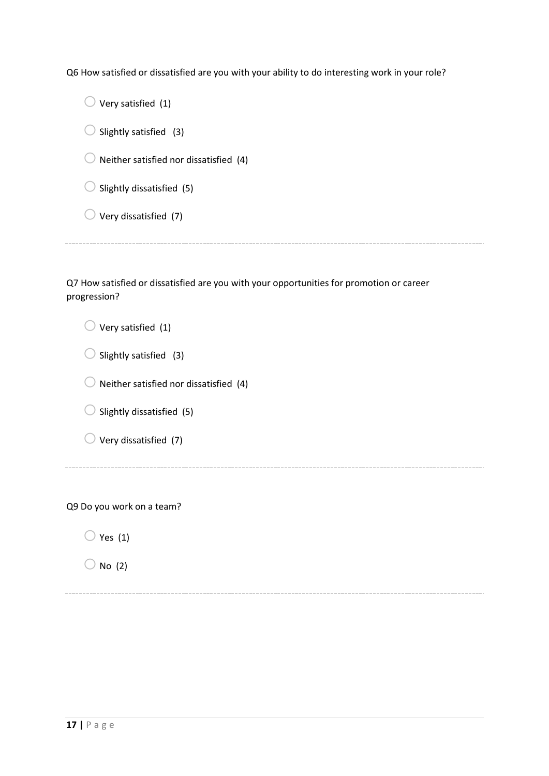Q6 How satisfied or dissatisfied are you with your ability to do interesting work in your role?

 $\bigcirc$  Very satisfied (1)  $\bigcirc$  Slightly satisfied (3)  $\bigcirc$  Neither satisfied nor dissatisfied (4)  $\bigcirc$  Slightly dissatisfied (5)  $\bigcirc$  Very dissatisfied (7)

Q7 How satisfied or dissatisfied are you with your opportunities for promotion or career progression?

 $\bigcirc$  Very satisfied (1)  $\bigcirc$  Slightly satisfied (3)  $\bigcirc$  Neither satisfied nor dissatisfied (4)  $\bigcirc$  Slightly dissatisfied (5)  $\bigcirc$  Very dissatisfied (7)

Q9 Do you work on a team?

 $\bigcirc$  Yes (1)

 $\bigcirc$  No (2)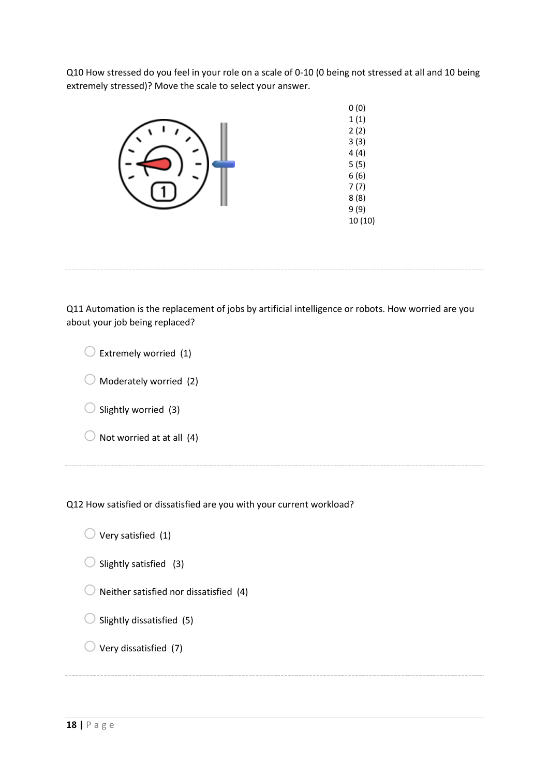Q10 How stressed do you feel in your role on a scale of 0-10 (0 being not stressed at all and 10 being extremely stressed)? Move the scale to select your answer.



Q11 Automation is the replacement of jobs by artificial intelligence or robots. How worried are you about your job being replaced?

| Extremely worried (1)             |
|-----------------------------------|
| $\bigcirc$ Moderately worried (2) |
| $\bigcup$ Slightly worried (3)    |
| Not worried at at all (4)         |
|                                   |

Q12 How satisfied or dissatisfied are you with your current workload?

 $\bigcirc$  Very satisfied (1)

- $\bigcirc$  Slightly satisfied (3)
- $\bigcirc$  Neither satisfied nor dissatisfied (4)
- $\bigcirc$  Slightly dissatisfied (5)
- $\bigcirc$  Very dissatisfied (7)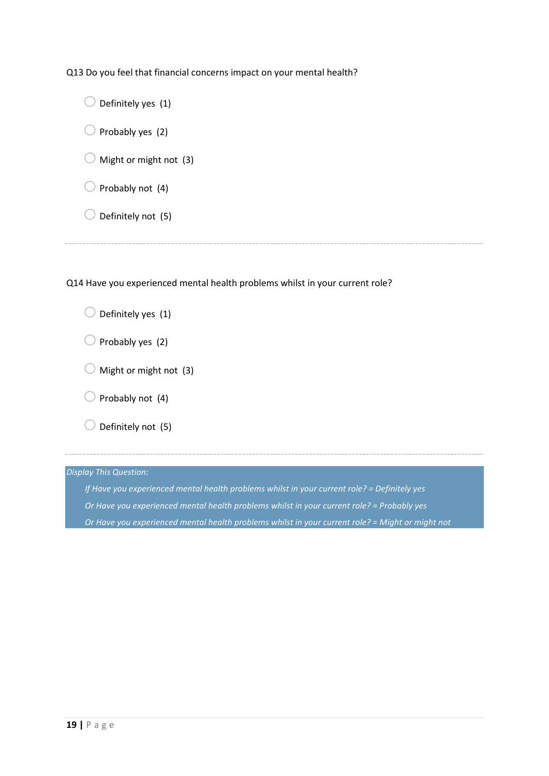Q13 Do you feel that financial concerns impact on your mental health?

| Definitely yes (1)     |  |
|------------------------|--|
| Probably yes (2)       |  |
| Might or might not (3) |  |
| Probably not (4)       |  |
| Definitely not (5)     |  |
|                        |  |

Q14 Have you experienced mental health problems whilst in your current role?

| $\bigcup$ Definitely yes (1)     |
|----------------------------------|
| $\bigcup$ Probably yes (2)       |
| $\bigcup$ Might or might not (3) |
| $\bigcirc$ Probably not (4)      |
| Definitely not (5)               |
|                                  |

*Display This Question:*

*If Have you experienced mental health problems whilst in your current role? = Definitely yes Or Have you experienced mental health problems whilst in your current role? = Probably yes Or Have you experienced mental health problems whilst in your current role? = Might or might not*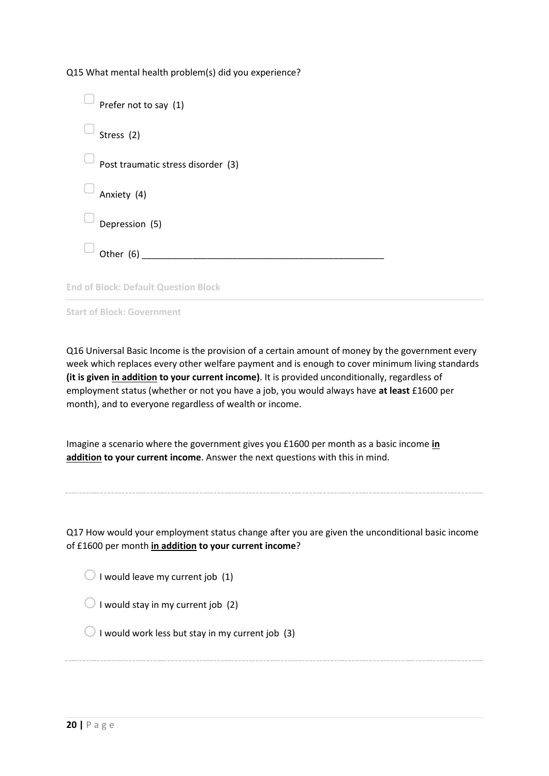Q15 What mental health problem(s) did you experience?

| Prefer not to say (1)                       |
|---------------------------------------------|
| Stress (2)                                  |
| Post traumatic stress disorder (3)          |
| Anxiety (4)                                 |
| Depression (5)                              |
| Other $(6)$                                 |
| <b>End of Block: Default Question Block</b> |

**Start of Block: Government**

Q16 Universal Basic Income is the provision of a certain amount of money by the government every week which replaces every other welfare payment and is enough to cover minimum living standards **(it is given in addition to your current income)**. It is provided unconditionally, regardless of employment status (whether or not you have a job, you would always have **at least** £1600 per month), and to everyone regardless of wealth or income.

Imagine a scenario where the government gives you £1600 per month as a basic income **in addition to your current income**. Answer the next questions with this in mind.

Q17 How would your employment status change after you are given the unconditional basic income of £1600 per month **in addition to your current income**?

 $\bigcirc$  I would leave my current job (1)

 $\bigcirc$  I would stay in my current job (2)

 $\bigcirc$  I would work less but stay in my current job (3)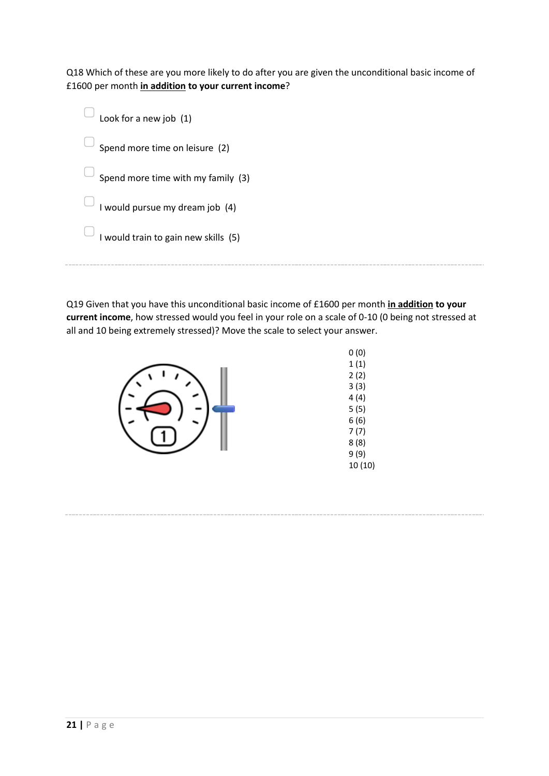Q18 Which of these are you more likely to do after you are given the unconditional basic income of £1600 per month **in addition to your current income**?

| Look for a new job (1)               |
|--------------------------------------|
| Spend more time on leisure (2)       |
| Spend more time with my family (3)   |
| I would pursue my dream job (4)      |
| I would train to gain new skills (5) |
|                                      |

Q19 Given that you have this unconditional basic income of £1600 per month **in addition to your current income**, how stressed would you feel in your role on a scale of 0-10 (0 being not stressed at all and 10 being extremely stressed)? Move the scale to select your answer.



0 (0) 1 (1) 2 (2) 3 (3) 4 (4) 5 (5) 6 (6) 7 (7) 8 (8) 9 (9) 10 (10)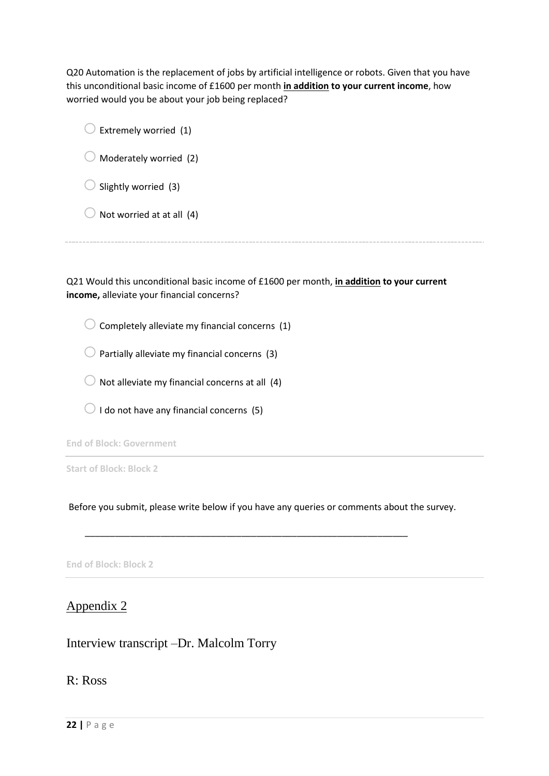Q20 Automation is the replacement of jobs by artificial intelligence or robots. Given that you have this unconditional basic income of £1600 per month **in addition to your current income**, how worried would you be about your job being replaced?

| Extremely worried (1)     |  |
|---------------------------|--|
| Moderately worried (2)    |  |
| Slightly worried (3)      |  |
| Not worried at at all (4) |  |
|                           |  |

Q21 Would this unconditional basic income of £1600 per month, **in addition to your current income,** alleviate your financial concerns?

 $\bigcirc$  Completely alleviate my financial concerns (1)

 $\bigcirc$  Partially alleviate my financial concerns (3)

 $\bigcirc$  Not alleviate my financial concerns at all (4)

 $\bigcirc$  I do not have any financial concerns (5)

**End of Block: Government**

**Start of Block: Block 2**

Before you submit, please write below if you have any queries or comments about the survey.

\_\_\_\_\_\_\_\_\_\_\_\_\_\_\_\_\_\_\_\_\_\_\_\_\_\_\_\_\_\_\_\_\_\_\_\_\_\_\_\_\_\_\_\_\_\_\_\_\_\_\_\_\_\_\_\_\_\_\_\_\_\_\_\_

**End of Block: Block 2**

Appendix 2

Interview transcript –Dr. Malcolm Torry

R: Ross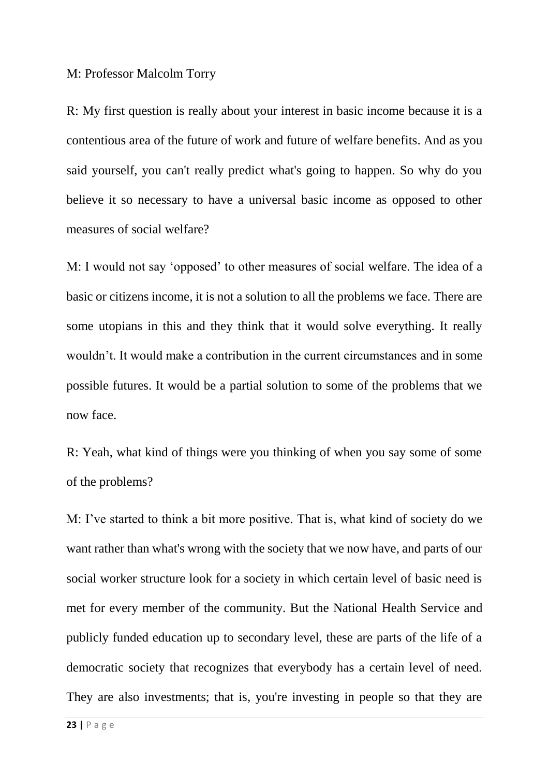## M: Professor Malcolm Torry

R: My first question is really about your interest in basic income because it is a contentious area of the future of work and future of welfare benefits. And as you said yourself, you can't really predict what's going to happen. So why do you believe it so necessary to have a universal basic income as opposed to other measures of social welfare?

M: I would not say 'opposed' to other measures of social welfare. The idea of a basic or citizens income, it is not a solution to all the problems we face. There are some utopians in this and they think that it would solve everything. It really wouldn't. It would make a contribution in the current circumstances and in some possible futures. It would be a partial solution to some of the problems that we now face.

R: Yeah, what kind of things were you thinking of when you say some of some of the problems?

M: I've started to think a bit more positive. That is, what kind of society do we want rather than what's wrong with the society that we now have, and parts of our social worker structure look for a society in which certain level of basic need is met for every member of the community. But the National Health Service and publicly funded education up to secondary level, these are parts of the life of a democratic society that recognizes that everybody has a certain level of need. They are also investments; that is, you're investing in people so that they are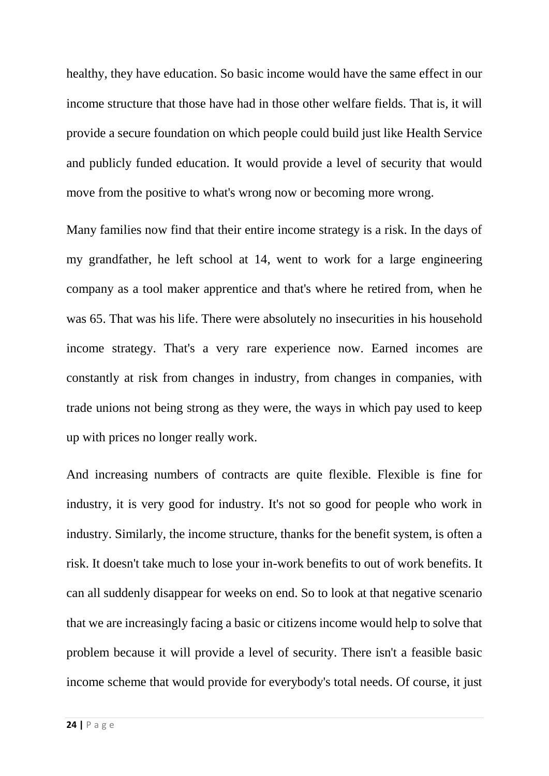healthy, they have education. So basic income would have the same effect in our income structure that those have had in those other welfare fields. That is, it will provide a secure foundation on which people could build just like Health Service and publicly funded education. It would provide a level of security that would move from the positive to what's wrong now or becoming more wrong.

Many families now find that their entire income strategy is a risk. In the days of my grandfather, he left school at 14, went to work for a large engineering company as a tool maker apprentice and that's where he retired from, when he was 65. That was his life. There were absolutely no insecurities in his household income strategy. That's a very rare experience now. Earned incomes are constantly at risk from changes in industry, from changes in companies, with trade unions not being strong as they were, the ways in which pay used to keep up with prices no longer really work.

And increasing numbers of contracts are quite flexible. Flexible is fine for industry, it is very good for industry. It's not so good for people who work in industry. Similarly, the income structure, thanks for the benefit system, is often a risk. It doesn't take much to lose your in-work benefits to out of work benefits. It can all suddenly disappear for weeks on end. So to look at that negative scenario that we are increasingly facing a basic or citizens income would help to solve that problem because it will provide a level of security. There isn't a feasible basic income scheme that would provide for everybody's total needs. Of course, it just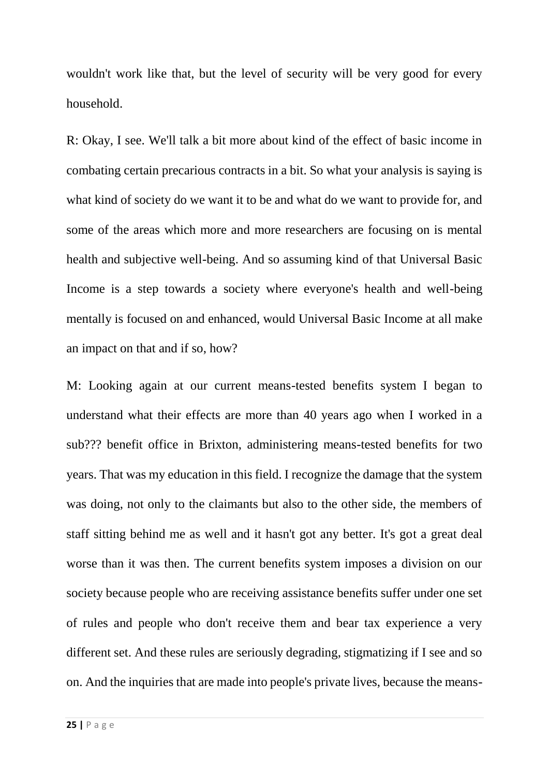wouldn't work like that, but the level of security will be very good for every household.

R: Okay, I see. We'll talk a bit more about kind of the effect of basic income in combating certain precarious contracts in a bit. So what your analysis is saying is what kind of society do we want it to be and what do we want to provide for, and some of the areas which more and more researchers are focusing on is mental health and subjective well-being. And so assuming kind of that Universal Basic Income is a step towards a society where everyone's health and well-being mentally is focused on and enhanced, would Universal Basic Income at all make an impact on that and if so, how?

M: Looking again at our current means-tested benefits system I began to understand what their effects are more than 40 years ago when I worked in a sub??? benefit office in Brixton, administering means-tested benefits for two years. That was my education in this field. I recognize the damage that the system was doing, not only to the claimants but also to the other side, the members of staff sitting behind me as well and it hasn't got any better. It's got a great deal worse than it was then. The current benefits system imposes a division on our society because people who are receiving assistance benefits suffer under one set of rules and people who don't receive them and bear tax experience a very different set. And these rules are seriously degrading, stigmatizing if I see and so on. And the inquiries that are made into people's private lives, because the means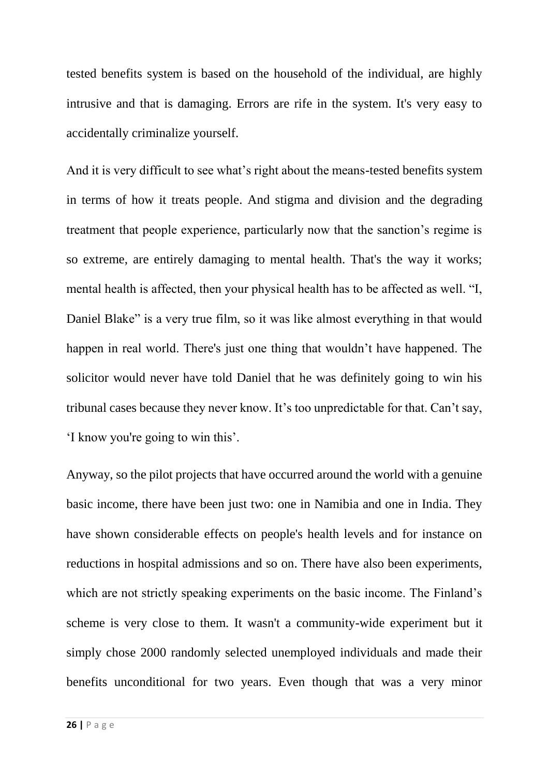tested benefits system is based on the household of the individual, are highly intrusive and that is damaging. Errors are rife in the system. It's very easy to accidentally criminalize yourself.

And it is very difficult to see what's right about the means-tested benefits system in terms of how it treats people. And stigma and division and the degrading treatment that people experience, particularly now that the sanction's regime is so extreme, are entirely damaging to mental health. That's the way it works; mental health is affected, then your physical health has to be affected as well. "I, Daniel Blake" is a very true film, so it was like almost everything in that would happen in real world. There's just one thing that wouldn't have happened. The solicitor would never have told Daniel that he was definitely going to win his tribunal cases because they never know. It's too unpredictable for that. Can't say, 'I know you're going to win this'.

Anyway, so the pilot projects that have occurred around the world with a genuine basic income, there have been just two: one in Namibia and one in India. They have shown considerable effects on people's health levels and for instance on reductions in hospital admissions and so on. There have also been experiments, which are not strictly speaking experiments on the basic income. The Finland's scheme is very close to them. It wasn't a community-wide experiment but it simply chose 2000 randomly selected unemployed individuals and made their benefits unconditional for two years. Even though that was a very minor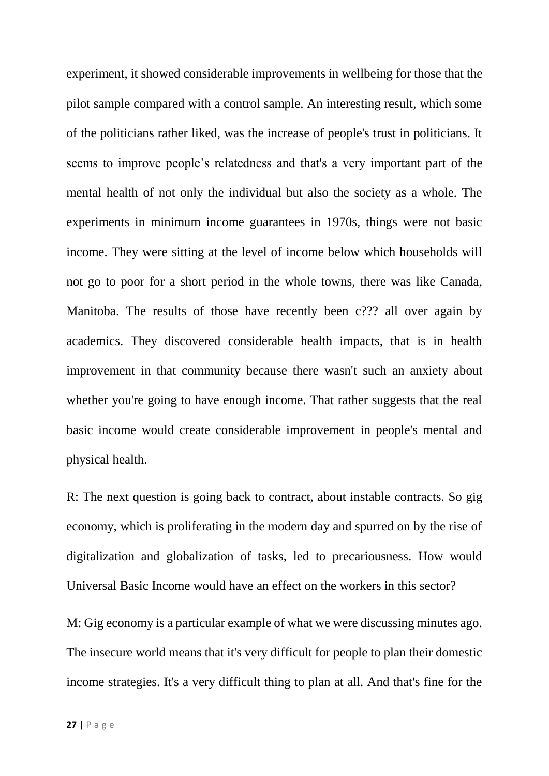experiment, it showed considerable improvements in wellbeing for those that the pilot sample compared with a control sample. An interesting result, which some of the politicians rather liked, was the increase of people's trust in politicians. It seems to improve people's relatedness and that's a very important part of the mental health of not only the individual but also the society as a whole. The experiments in minimum income guarantees in 1970s, things were not basic income. They were sitting at the level of income below which households will not go to poor for a short period in the whole towns, there was like Canada, Manitoba. The results of those have recently been c??? all over again by academics. They discovered considerable health impacts, that is in health improvement in that community because there wasn't such an anxiety about whether you're going to have enough income. That rather suggests that the real basic income would create considerable improvement in people's mental and physical health.

R: The next question is going back to contract, about instable contracts. So gig economy, which is proliferating in the modern day and spurred on by the rise of digitalization and globalization of tasks, led to precariousness. How would Universal Basic Income would have an effect on the workers in this sector?

M: Gig economy is a particular example of what we were discussing minutes ago. The insecure world means that it's very difficult for people to plan their domestic income strategies. It's a very difficult thing to plan at all. And that's fine for the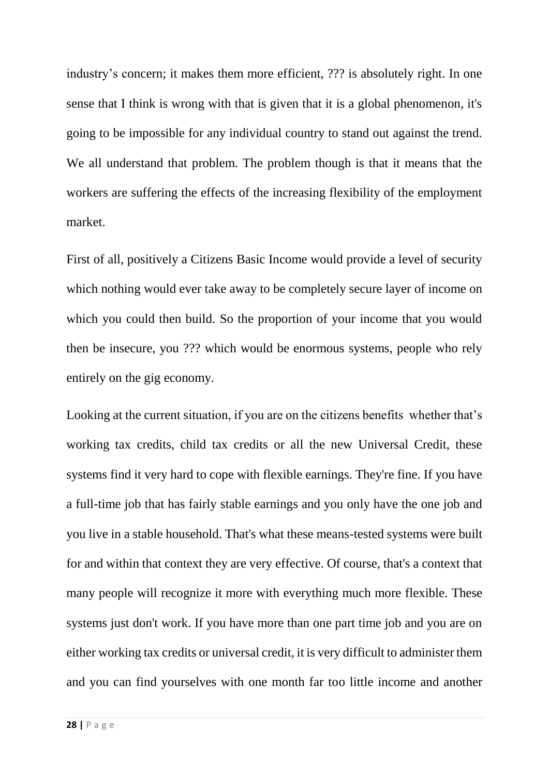industry's concern; it makes them more efficient, ??? is absolutely right. In one sense that I think is wrong with that is given that it is a global phenomenon, it's going to be impossible for any individual country to stand out against the trend. We all understand that problem. The problem though is that it means that the workers are suffering the effects of the increasing flexibility of the employment market.

First of all, positively a Citizens Basic Income would provide a level of security which nothing would ever take away to be completely secure layer of income on which you could then build. So the proportion of your income that you would then be insecure, you ??? which would be enormous systems, people who rely entirely on the gig economy.

Looking at the current situation, if you are on the citizens benefits whether that's working tax credits, child tax credits or all the new Universal Credit, these systems find it very hard to cope with flexible earnings. They're fine. If you have a full-time job that has fairly stable earnings and you only have the one job and you live in a stable household. That's what these means-tested systems were built for and within that context they are very effective. Of course, that's a context that many people will recognize it more with everything much more flexible. These systems just don't work. If you have more than one part time job and you are on either working tax credits or universal credit, it is very difficult to administer them and you can find yourselves with one month far too little income and another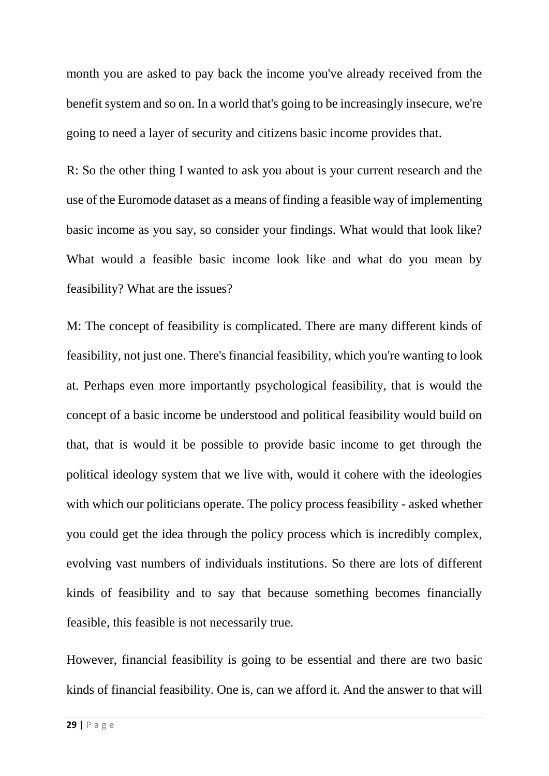month you are asked to pay back the income you've already received from the benefit system and so on. In a world that's going to be increasingly insecure, we're going to need a layer of security and citizens basic income provides that.

R: So the other thing I wanted to ask you about is your current research and the use of the Euromode dataset as a means of finding a feasible way of implementing basic income as you say, so consider your findings. What would that look like? What would a feasible basic income look like and what do you mean by feasibility? What are the issues?

M: The concept of feasibility is complicated. There are many different kinds of feasibility, not just one. There's financial feasibility, which you're wanting to look at. Perhaps even more importantly psychological feasibility, that is would the concept of a basic income be understood and political feasibility would build on that, that is would it be possible to provide basic income to get through the political ideology system that we live with, would it cohere with the ideologies with which our politicians operate. The policy process feasibility - asked whether you could get the idea through the policy process which is incredibly complex, evolving vast numbers of individuals institutions. So there are lots of different kinds of feasibility and to say that because something becomes financially feasible, this feasible is not necessarily true.

However, financial feasibility is going to be essential and there are two basic kinds of financial feasibility. One is, can we afford it. And the answer to that will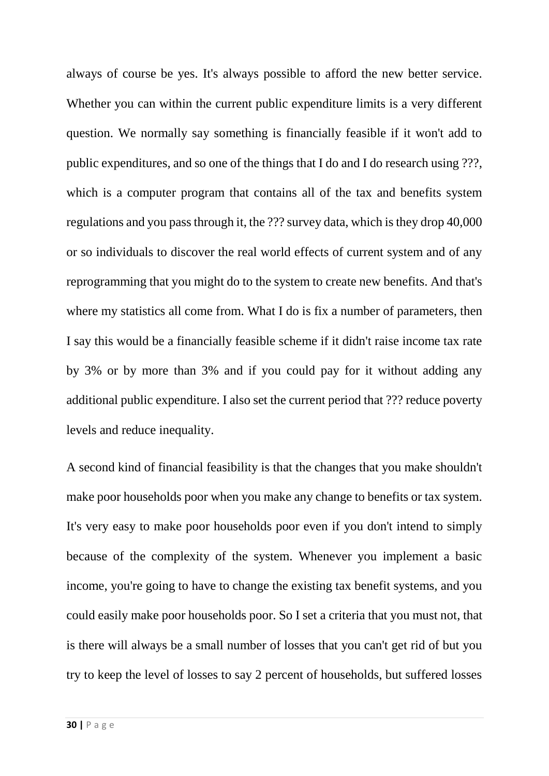always of course be yes. It's always possible to afford the new better service. Whether you can within the current public expenditure limits is a very different question. We normally say something is financially feasible if it won't add to public expenditures, and so one of the things that I do and I do research using ???, which is a computer program that contains all of the tax and benefits system regulations and you pass through it, the ??? survey data, which is they drop 40,000 or so individuals to discover the real world effects of current system and of any reprogramming that you might do to the system to create new benefits. And that's where my statistics all come from. What I do is fix a number of parameters, then I say this would be a financially feasible scheme if it didn't raise income tax rate by 3% or by more than 3% and if you could pay for it without adding any additional public expenditure. I also set the current period that ??? reduce poverty levels and reduce inequality.

A second kind of financial feasibility is that the changes that you make shouldn't make poor households poor when you make any change to benefits or tax system. It's very easy to make poor households poor even if you don't intend to simply because of the complexity of the system. Whenever you implement a basic income, you're going to have to change the existing tax benefit systems, and you could easily make poor households poor. So I set a criteria that you must not, that is there will always be a small number of losses that you can't get rid of but you try to keep the level of losses to say 2 percent of households, but suffered losses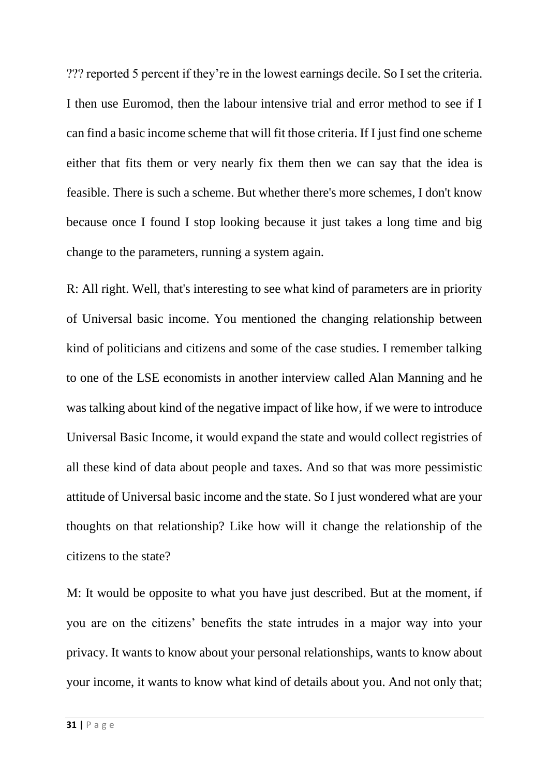??? reported 5 percent if they're in the lowest earnings decile. So I set the criteria. I then use Euromod, then the labour intensive trial and error method to see if I can find a basic income scheme that will fit those criteria. If I just find one scheme either that fits them or very nearly fix them then we can say that the idea is feasible. There is such a scheme. But whether there's more schemes, I don't know because once I found I stop looking because it just takes a long time and big change to the parameters, running a system again.

R: All right. Well, that's interesting to see what kind of parameters are in priority of Universal basic income. You mentioned the changing relationship between kind of politicians and citizens and some of the case studies. I remember talking to one of the LSE economists in another interview called Alan Manning and he was talking about kind of the negative impact of like how, if we were to introduce Universal Basic Income, it would expand the state and would collect registries of all these kind of data about people and taxes. And so that was more pessimistic attitude of Universal basic income and the state. So I just wondered what are your thoughts on that relationship? Like how will it change the relationship of the citizens to the state?

M: It would be opposite to what you have just described. But at the moment, if you are on the citizens' benefits the state intrudes in a major way into your privacy. It wants to know about your personal relationships, wants to know about your income, it wants to know what kind of details about you. And not only that;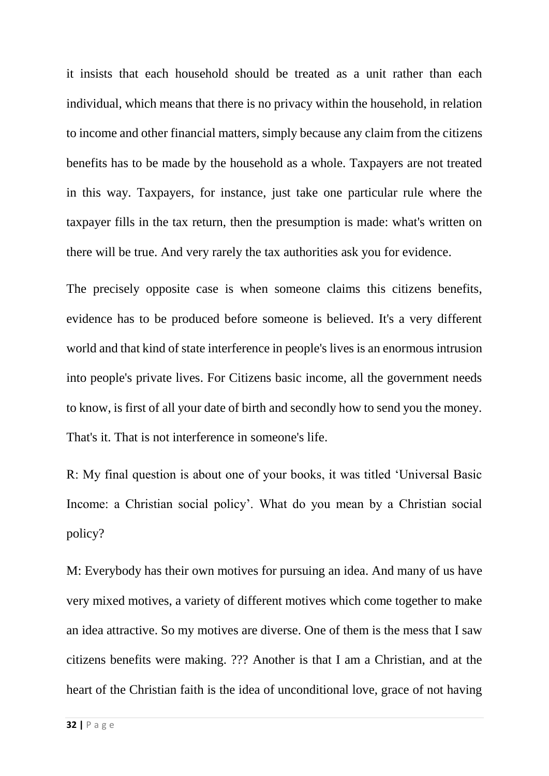it insists that each household should be treated as a unit rather than each individual, which means that there is no privacy within the household, in relation to income and other financial matters, simply because any claim from the citizens benefits has to be made by the household as a whole. Taxpayers are not treated in this way. Taxpayers, for instance, just take one particular rule where the taxpayer fills in the tax return, then the presumption is made: what's written on there will be true. And very rarely the tax authorities ask you for evidence.

The precisely opposite case is when someone claims this citizens benefits, evidence has to be produced before someone is believed. It's a very different world and that kind of state interference in people's lives is an enormous intrusion into people's private lives. For Citizens basic income, all the government needs to know, is first of all your date of birth and secondly how to send you the money. That's it. That is not interference in someone's life.

R: My final question is about one of your books, it was titled 'Universal Basic Income: a Christian social policy'. What do you mean by a Christian social policy?

M: Everybody has their own motives for pursuing an idea. And many of us have very mixed motives, a variety of different motives which come together to make an idea attractive. So my motives are diverse. One of them is the mess that I saw citizens benefits were making. ??? Another is that I am a Christian, and at the heart of the Christian faith is the idea of unconditional love, grace of not having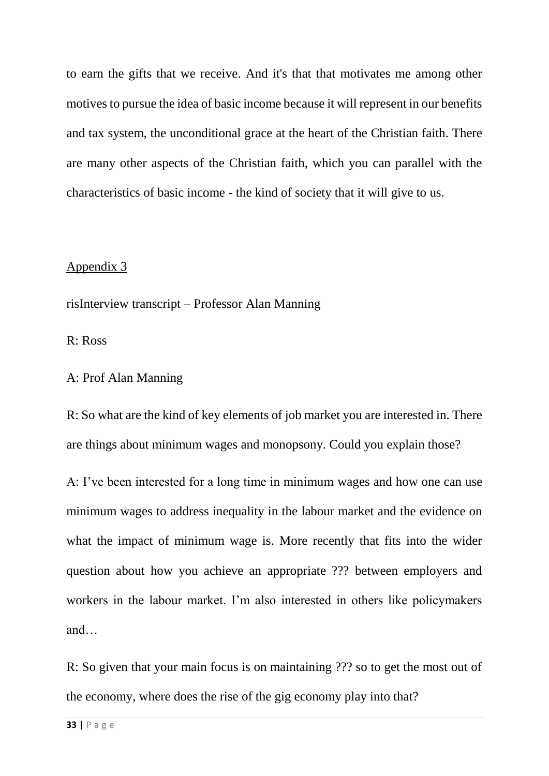to earn the gifts that we receive. And it's that that motivates me among other motives to pursue the idea of basic income because it will represent in our benefits and tax system, the unconditional grace at the heart of the Christian faith. There are many other aspects of the Christian faith, which you can parallel with the characteristics of basic income - the kind of society that it will give to us.

### Appendix 3

risInterview transcript – Professor Alan Manning

R: Ross

A: Prof Alan Manning

R: So what are the kind of key elements of job market you are interested in. There are things about minimum wages and monopsony. Could you explain those?

A: I've been interested for a long time in minimum wages and how one can use minimum wages to address inequality in the labour market and the evidence on what the impact of minimum wage is. More recently that fits into the wider question about how you achieve an appropriate ??? between employers and workers in the labour market. I'm also interested in others like policymakers and…

R: So given that your main focus is on maintaining ??? so to get the most out of the economy, where does the rise of the gig economy play into that?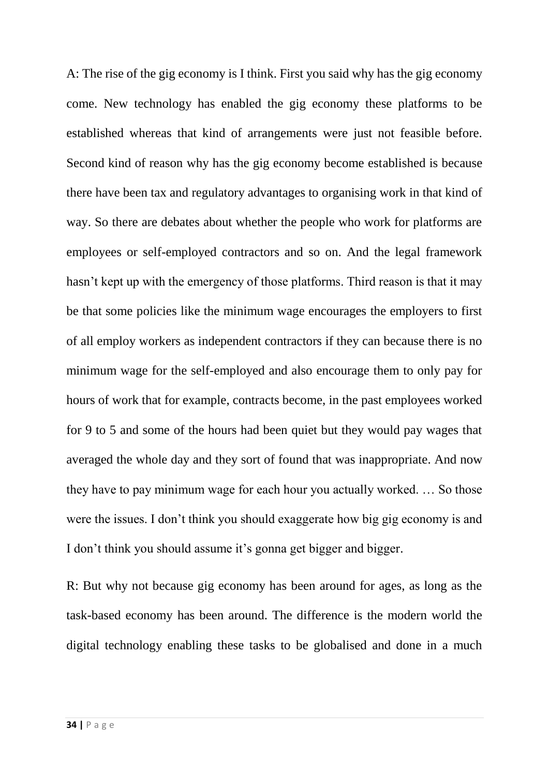A: The rise of the gig economy is I think. First you said why has the gig economy come. New technology has enabled the gig economy these platforms to be established whereas that kind of arrangements were just not feasible before. Second kind of reason why has the gig economy become established is because there have been tax and regulatory advantages to organising work in that kind of way. So there are debates about whether the people who work for platforms are employees or self-employed contractors and so on. And the legal framework hasn't kept up with the emergency of those platforms. Third reason is that it may be that some policies like the minimum wage encourages the employers to first of all employ workers as independent contractors if they can because there is no minimum wage for the self-employed and also encourage them to only pay for hours of work that for example, contracts become, in the past employees worked for 9 to 5 and some of the hours had been quiet but they would pay wages that averaged the whole day and they sort of found that was inappropriate. And now they have to pay minimum wage for each hour you actually worked. … So those were the issues. I don't think you should exaggerate how big gig economy is and I don't think you should assume it's gonna get bigger and bigger.

R: But why not because gig economy has been around for ages, as long as the task-based economy has been around. The difference is the modern world the digital technology enabling these tasks to be globalised and done in a much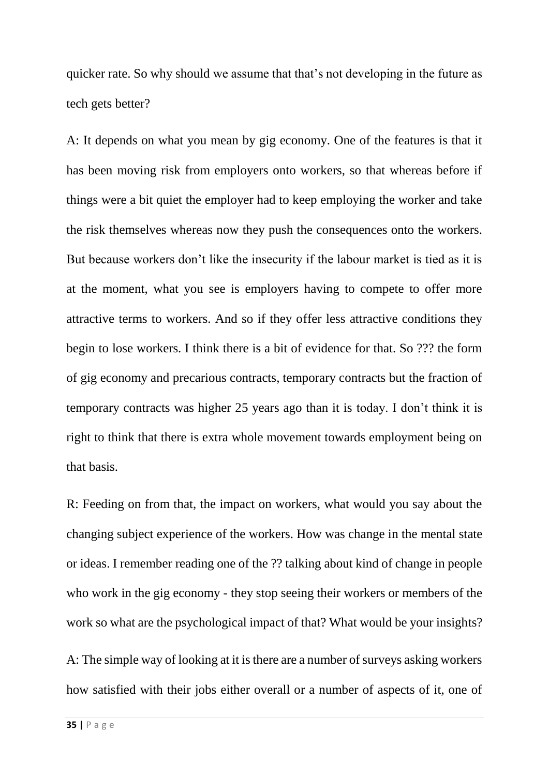quicker rate. So why should we assume that that's not developing in the future as tech gets better?

A: It depends on what you mean by gig economy. One of the features is that it has been moving risk from employers onto workers, so that whereas before if things were a bit quiet the employer had to keep employing the worker and take the risk themselves whereas now they push the consequences onto the workers. But because workers don't like the insecurity if the labour market is tied as it is at the moment, what you see is employers having to compete to offer more attractive terms to workers. And so if they offer less attractive conditions they begin to lose workers. I think there is a bit of evidence for that. So ??? the form of gig economy and precarious contracts, temporary contracts but the fraction of temporary contracts was higher 25 years ago than it is today. I don't think it is right to think that there is extra whole movement towards employment being on that basis.

R: Feeding on from that, the impact on workers, what would you say about the changing subject experience of the workers. How was change in the mental state or ideas. I remember reading one of the ?? talking about kind of change in people who work in the gig economy - they stop seeing their workers or members of the work so what are the psychological impact of that? What would be your insights?

A: The simple way of looking at it is there are a number of surveys asking workers how satisfied with their jobs either overall or a number of aspects of it, one of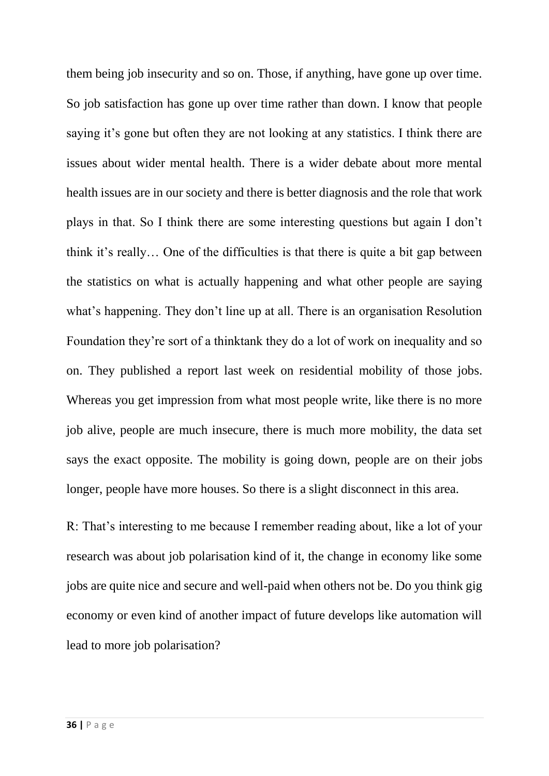them being job insecurity and so on. Those, if anything, have gone up over time. So job satisfaction has gone up over time rather than down. I know that people saying it's gone but often they are not looking at any statistics. I think there are issues about wider mental health. There is a wider debate about more mental health issues are in our society and there is better diagnosis and the role that work plays in that. So I think there are some interesting questions but again I don't think it's really… One of the difficulties is that there is quite a bit gap between the statistics on what is actually happening and what other people are saying what's happening. They don't line up at all. There is an organisation Resolution Foundation they're sort of a thinktank they do a lot of work on inequality and so on. They published a report last week on residential mobility of those jobs. Whereas you get impression from what most people write, like there is no more job alive, people are much insecure, there is much more mobility, the data set says the exact opposite. The mobility is going down, people are on their jobs longer, people have more houses. So there is a slight disconnect in this area.

R: That's interesting to me because I remember reading about, like a lot of your research was about job polarisation kind of it, the change in economy like some jobs are quite nice and secure and well-paid when others not be. Do you think gig economy or even kind of another impact of future develops like automation will lead to more job polarisation?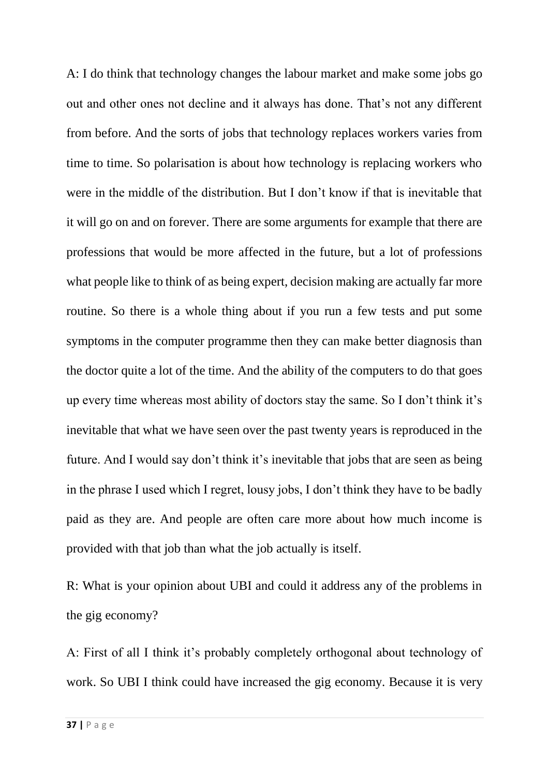A: I do think that technology changes the labour market and make some jobs go out and other ones not decline and it always has done. That's not any different from before. And the sorts of jobs that technology replaces workers varies from time to time. So polarisation is about how technology is replacing workers who were in the middle of the distribution. But I don't know if that is inevitable that it will go on and on forever. There are some arguments for example that there are professions that would be more affected in the future, but a lot of professions what people like to think of as being expert, decision making are actually far more routine. So there is a whole thing about if you run a few tests and put some symptoms in the computer programme then they can make better diagnosis than the doctor quite a lot of the time. And the ability of the computers to do that goes up every time whereas most ability of doctors stay the same. So I don't think it's inevitable that what we have seen over the past twenty years is reproduced in the future. And I would say don't think it's inevitable that jobs that are seen as being in the phrase I used which I regret, lousy jobs, I don't think they have to be badly paid as they are. And people are often care more about how much income is provided with that job than what the job actually is itself.

R: What is your opinion about UBI and could it address any of the problems in the gig economy?

A: First of all I think it's probably completely orthogonal about technology of work. So UBI I think could have increased the gig economy. Because it is very